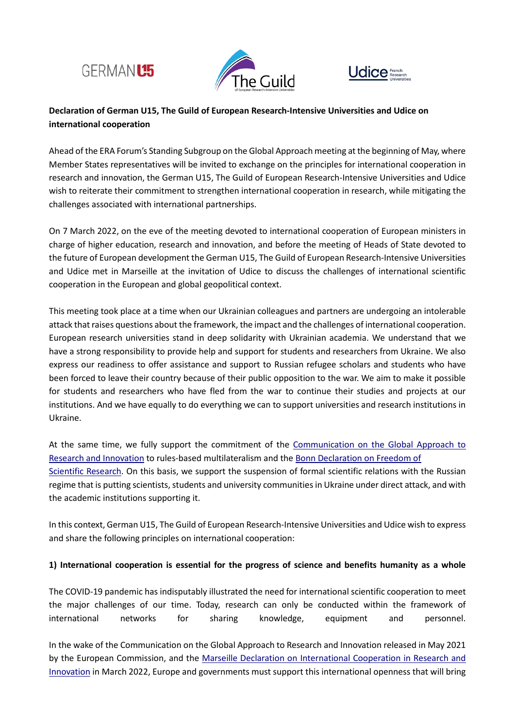





# **Declaration of German U15, The Guild of European Research-Intensive Universities and Udice on international cooperation**

Ahead of the ERA Forum's Standing Subgroup on the Global Approach meeting at the beginning of May, where Member States representatives will be invited to exchange on the principles for international cooperation in research and innovation, the German U15, The Guild of European Research-Intensive Universities and Udice wish to reiterate their commitment to strengthen international cooperation in research, while mitigating the challenges associated with international partnerships.

On 7 March 2022, on the eve of the meeting devoted to international cooperation of European ministers in charge of higher education, research and innovation, and before the meeting of Heads of State devoted to the future of European development the German U15, The Guild of European Research-Intensive Universities and Udice met in Marseille at the invitation of Udice to discuss the challenges of international scientific cooperation in the European and global geopolitical context.

This meeting took place at a time when our Ukrainian colleagues and partners are undergoing an intolerable attack that raises questions about the framework, the impact and the challenges of international cooperation. European research universities stand in deep solidarity with Ukrainian academia. We understand that we have a strong responsibility to provide help and support for students and researchers from Ukraine. We also express our readiness to offer assistance and support to Russian refugee scholars and students who have been forced to leave their country because of their public opposition to the war. We aim to make it possible for students and researchers who have fled from the war to continue their studies and projects at our institutions. And we have equally to do everything we can to support universities and research institutions in Ukraine.

At the same time, we fully support the commitment of the [Communication on the Global Approach to](https://ec.europa.eu/info/files/communication-global-approach-research-and-innovation_en)  [Research and Innovation](https://ec.europa.eu/info/files/communication-global-approach-research-and-innovation_en) to rules-based multilateralism and th[e Bonn Declaration on Freedom of](https://www.bmbf.de/bmbf/shareddocs/downloads/files/_drp-efr-bonner_erklaerung_en_with-signatures_maerz_2021.pdf?__blob=publicationFile&v=1) [Scientific Research.](https://www.bmbf.de/bmbf/shareddocs/downloads/files/_drp-efr-bonner_erklaerung_en_with-signatures_maerz_2021.pdf?__blob=publicationFile&v=1) On this basis, we support the suspension of formal scientific relations with the Russian regime that is putting scientists, students and university communities in Ukraine under direct attack, and with the academic institutions supporting it.

In this context, German U15, The Guild of European Research-Intensive Universities and Udice wish to express and share the following principles on international cooperation:

### **1) International cooperation is essential for the progress of science and benefits humanity as a whole**

The COVID-19 pandemic has indisputably illustrated the need for international scientific cooperation to meet the major challenges of our time. Today, research can only be conducted within the framework of international networks for sharing knowledge, equipment and personnel.

In the wake of the Communication on the Global Approach to Research and Innovation released in May 2021 by the European Commission, and the [Marseille Declaration on International Cooperation in Research and](https://presidence-francaise.consilium.europa.eu/media/xi1khxzg/marseille-declaration.pdf)  [Innovation](https://presidence-francaise.consilium.europa.eu/media/xi1khxzg/marseille-declaration.pdf) in March 2022, Europe and governments must support this international openness that will bring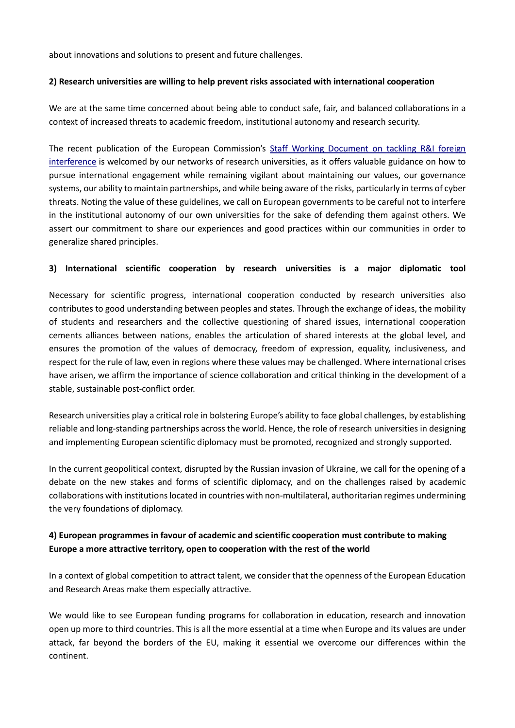about innovations and solutions to present and future challenges.

#### **2) Research universities are willing to help prevent risks associated with international cooperation**

We are at the same time concerned about being able to conduct safe, fair, and balanced collaborations in a context of increased threats to academic freedom, institutional autonomy and research security.

The recent publication of the European Commission's [Staff Working Document on tackling R&I foreign](https://op.europa.eu/en/web/eu-law-and-publications/publication-detail/-/publication/3faf52e8-79a2-11ec-9136-01aa75ed71a1)  [interference](https://op.europa.eu/en/web/eu-law-and-publications/publication-detail/-/publication/3faf52e8-79a2-11ec-9136-01aa75ed71a1) is welcomed by our networks of research universities, as it offers valuable guidance on how to pursue international engagement while remaining vigilant about maintaining our values, our governance systems, our ability to maintain partnerships, and while being aware of the risks, particularly in terms of cyber threats. Noting the value of these guidelines, we call on European governments to be careful not to interfere in the institutional autonomy of our own universities for the sake of defending them against others. We assert our commitment to share our experiences and good practices within our communities in order to generalize shared principles.

#### **3) International scientific cooperation by research universities is a major diplomatic tool**

Necessary for scientific progress, international cooperation conducted by research universities also contributes to good understanding between peoples and states. Through the exchange of ideas, the mobility of students and researchers and the collective questioning of shared issues, international cooperation cements alliances between nations, enables the articulation of shared interests at the global level, and ensures the promotion of the values of democracy, freedom of expression, equality, inclusiveness, and respect for the rule of law, even in regions where these values may be challenged. Where international crises have arisen, we affirm the importance of science collaboration and critical thinking in the development of a stable, sustainable post-conflict order.

Research universities play a critical role in bolstering Europe's ability to face global challenges, by establishing reliable and long-standing partnerships across the world. Hence, the role of research universities in designing and implementing European scientific diplomacy must be promoted, recognized and strongly supported.

In the current geopolitical context, disrupted by the Russian invasion of Ukraine, we call for the opening of a debate on the new stakes and forms of scientific diplomacy, and on the challenges raised by academic collaborations with institutions located in countries with non-multilateral, authoritarian regimes undermining the very foundations of diplomacy.

# **4) European programmes in favour of academic and scientific cooperation must contribute to making Europe a more attractive territory, open to cooperation with the rest of the world**

In a context of global competition to attract talent, we consider that the openness of the European Education and Research Areas make them especially attractive.

We would like to see European funding programs for collaboration in education, research and innovation open up more to third countries. This is all the more essential at a time when Europe and its values are under attack, far beyond the borders of the EU, making it essential we overcome our differences within the continent.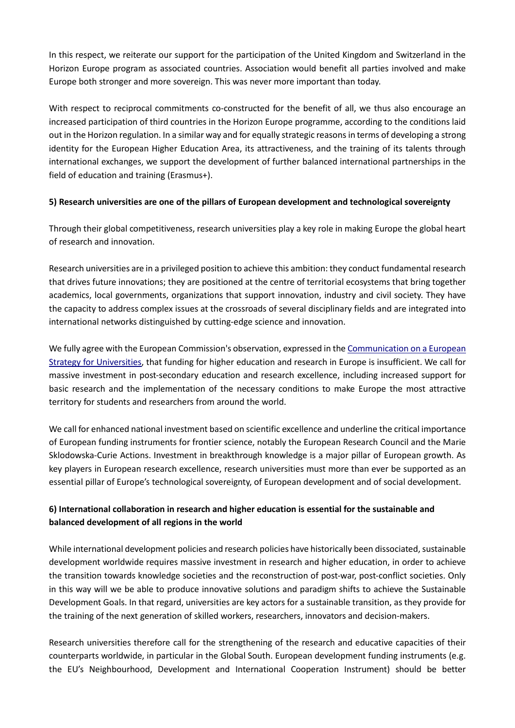In this respect, we reiterate our support for the participation of the United Kingdom and Switzerland in the Horizon Europe program as associated countries. Association would benefit all parties involved and make Europe both stronger and more sovereign. This was never more important than today.

With respect to reciprocal commitments co-constructed for the benefit of all, we thus also encourage an increased participation of third countries in the Horizon Europe programme, according to the conditions laid out in the Horizon regulation. In a similar way and for equally strategic reasons in terms of developing a strong identity for the European Higher Education Area, its attractiveness, and the training of its talents through international exchanges, we support the development of further balanced international partnerships in the field of education and training (Erasmus+).

### **5) Research universities are one of the pillars of European development and technological sovereignty**

Through their global competitiveness, research universities play a key role in making Europe the global heart of research and innovation.

Research universities are in a privileged position to achieve this ambition: they conduct fundamental research that drives future innovations; they are positioned at the centre of territorial ecosystems that bring together academics, local governments, organizations that support innovation, industry and civil society. They have the capacity to address complex issues at the crossroads of several disciplinary fields and are integrated into international networks distinguished by cutting-edge science and innovation.

We fully agree with the European Commission's observation, expressed in th[e Communication on a European](https://education.ec.europa.eu/document/commission-communication-on-a-european-strategy-for-universities)  [Strategy for Universities,](https://education.ec.europa.eu/document/commission-communication-on-a-european-strategy-for-universities) that funding for higher education and research in Europe is insufficient. We call for massive investment in post-secondary education and research excellence, including increased support for basic research and the implementation of the necessary conditions to make Europe the most attractive territory for students and researchers from around the world.

We call for enhanced national investment based on scientific excellence and underline the critical importance of European funding instruments for frontier science, notably the European Research Council and the Marie Sklodowska-Curie Actions. Investment in breakthrough knowledge is a major pillar of European growth. As key players in European research excellence, research universities must more than ever be supported as an essential pillar of Europe's technological sovereignty, of European development and of social development.

# **6) International collaboration in research and higher education is essential for the sustainable and balanced development of all regions in the world**

While international development policies and research policies have historically been dissociated, sustainable development worldwide requires massive investment in research and higher education, in order to achieve the transition towards knowledge societies and the reconstruction of post-war, post-conflict societies. Only in this way will we be able to produce innovative solutions and paradigm shifts to achieve the Sustainable Development Goals. In that regard, universities are key actors for a sustainable transition, as they provide for the training of the next generation of skilled workers, researchers, innovators and decision-makers.

Research universities therefore call for the strengthening of the research and educative capacities of their counterparts worldwide, in particular in the Global South. European development funding instruments (e.g. the EU's Neighbourhood, Development and International Cooperation Instrument) should be better